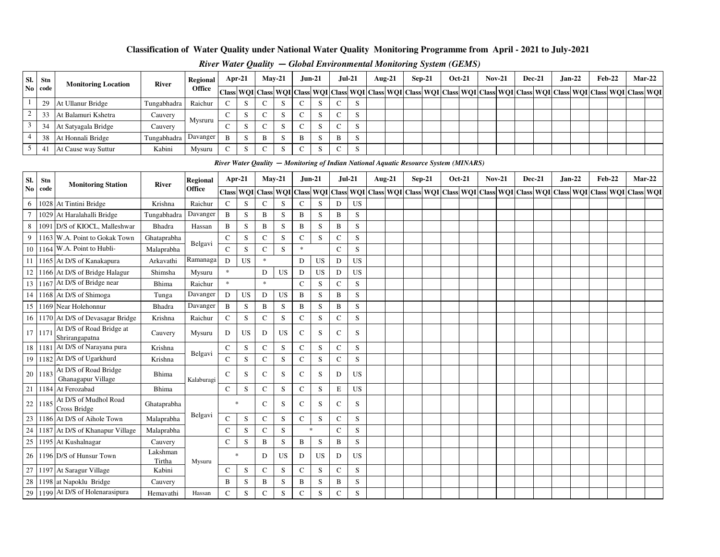#### **Classification of Water Quality under National Water Quality Monitoring Programme from April - 2021 to July-2021**

| SI. | Stn  | <b>Monitoring Location</b> | River       | Regional      | $Apr-21$ |  | $Mav-21$   |  |   | <b>Jun-21</b> | $Jul-21$ |                    | Aug- $21$ |                                                                                                                                                | $Sep-21$ | <b>Oct-21</b> | $Nov-21$ | <b>Dec-21</b> | $Jan-22$ |  | $Feb-22$ |  | <b>Mar-22</b> |
|-----|------|----------------------------|-------------|---------------|----------|--|------------|--|---|---------------|----------|--------------------|-----------|------------------------------------------------------------------------------------------------------------------------------------------------|----------|---------------|----------|---------------|----------|--|----------|--|---------------|
|     | code |                            |             | <b>Office</b> |          |  |            |  |   |               |          |                    |           | Class  WQI Class  WQI Class  WQI Class  WQI Class  WQI Class  WQI Class  WQI Class  WQI Class  WQI Class  WQI Class  WQI Class  WQI Class  WQI |          |               |          |               |          |  |          |  |               |
|     | 29   | At Ullanur Bridge          | Tungabhadra | Raichur       |          |  | $\sim$     |  |   | - 12          |          | C.                 |           |                                                                                                                                                |          |               |          |               |          |  |          |  |               |
|     |      | At Balamuri Kshetra        | Cauvery     | Mysruru       |          |  | $\sqrt{2}$ |  |   | - 12          |          | $\sim$<br><b>ت</b> |           |                                                                                                                                                |          |               |          |               |          |  |          |  |               |
|     | 34   | At Satyagala Bridge        | Cauvery     |               |          |  | $\sqrt{ }$ |  |   | - 12          |          | ъĐ                 |           |                                                                                                                                                |          |               |          |               |          |  |          |  |               |
|     | 38   | At Honnali Bridge          | Tungabhadra | Davanger      |          |  | B          |  | B | - 33          |          | $\sim$             |           |                                                                                                                                                |          |               |          |               |          |  |          |  |               |
|     |      | At Cause way Suttur        | Kabini      | Mysuru        |          |  | $\sqrt{2}$ |  |   | - 12          |          | د                  |           |                                                                                                                                                |          |               |          |               |          |  |          |  |               |

#### *River Water Quality* **—** *Global Environmental Monitoring System (GEMS)*

|                 | River Water Qaulity — Monitoring of Indian National Aquatic Resource System (MINARS)                                                                                                         |                                             |                    |                 |               |           |               |           |              |           |               |           |                                                                                                                                                                                                                              |  |          |               |               |  |               |          |               |  |          |
|-----------------|----------------------------------------------------------------------------------------------------------------------------------------------------------------------------------------------|---------------------------------------------|--------------------|-----------------|---------------|-----------|---------------|-----------|--------------|-----------|---------------|-----------|------------------------------------------------------------------------------------------------------------------------------------------------------------------------------------------------------------------------------|--|----------|---------------|---------------|--|---------------|----------|---------------|--|----------|
| SI.             | Stn                                                                                                                                                                                          | <b>Monitoring Station</b>                   | River              | <b>Regional</b> | Apr-21        |           | $May-21$      |           | $Jun-21$     |           | $Jul-21$      |           | <b>Aug-21</b>                                                                                                                                                                                                                |  | $Sep-21$ | <b>Oct-21</b> | <b>Nov-21</b> |  | <b>Dec-21</b> | $Jan-22$ | <b>Feb-22</b> |  | $Mar-22$ |
| N <sub>0</sub>  | code                                                                                                                                                                                         |                                             |                    | Office          | <b>Class</b>  |           | WQI Class WQI |           | <b>Class</b> |           |               |           | WQI   Class   WQI   Class   WQI   Class   WQI   Class   WQI   Class   WQI   Class   WQI   Class   WQI   Class   WQI   Class   WQI   Class   WQI   Class   WQI   Class   WQI   Class   WQI   Class   WQI   Class   WQI   Clas |  |          |               |               |  |               |          |               |  |          |
| 6               |                                                                                                                                                                                              | 1028 At Tintini Bridge                      | Krishna            | Raichur         | $\mathbf C$   | S         | $\mathbf C$   | S         | $\mathbf C$  | S         | D             | <b>US</b> |                                                                                                                                                                                                                              |  |          |               |               |  |               |          |               |  |          |
| $7\overline{ }$ |                                                                                                                                                                                              | 1029 At Haralahalli Bridge                  | Tungabhadra        | Davanger        | B             | S         | $\, {\bf B}$  | S         | B            | S         | $\, {\bf B}$  | S         |                                                                                                                                                                                                                              |  |          |               |               |  |               |          |               |  |          |
| 8               |                                                                                                                                                                                              | 1091 D/S of KIOCL, Malleshwar               | Bhadra             | Hassan          | B             | S         | B             | S         | B            | S         | B             | S         |                                                                                                                                                                                                                              |  |          |               |               |  |               |          |               |  |          |
| 9               |                                                                                                                                                                                              | 1163 W.A. Point to Gokak Town               | Ghataprabha        | Belgavi         | $\mathbf C$   | S         | $\mathbf C$   | S         | $\mathsf{C}$ | S         | $\mathbf C$   | S         |                                                                                                                                                                                                                              |  |          |               |               |  |               |          |               |  |          |
| 10              | 1164                                                                                                                                                                                         | W.A. Point to Hubli-                        | Malaprabha         |                 | $\mathbf C$   | S         | $\mathbf C$   | S         | $\ast$       |           | $\mathsf C$   | S         |                                                                                                                                                                                                                              |  |          |               |               |  |               |          |               |  |          |
| 11              |                                                                                                                                                                                              | 1165 At D/S of Kanakapura                   | Arkavathi          | Ramanaga        | D             | <b>US</b> | $\ast$        |           | D            | <b>US</b> | D             | <b>US</b> |                                                                                                                                                                                                                              |  |          |               |               |  |               |          |               |  |          |
| 12              | 1166 At D/S of Bridge Halagur<br>$\ast$<br><b>US</b><br>US<br>Shimsha<br>D<br>D<br><b>US</b><br>D<br>Mysuru<br>$\ast$<br>$\ast$<br>$\mathbf C$<br>S<br>$\mathsf{C}$<br>S<br>Bhima<br>Raichur |                                             |                    |                 |               |           |               |           |              |           |               |           |                                                                                                                                                                                                                              |  |          |               |               |  |               |          |               |  |          |
| 13              | 1167 At D/S of Bridge near<br>Davanger<br>D<br>1168 At D/S of Shimoga<br>Tunga<br><b>US</b><br>D<br><b>US</b><br>B<br>S<br>B<br>S                                                            |                                             |                    |                 |               |           |               |           |              |           |               |           |                                                                                                                                                                                                                              |  |          |               |               |  |               |          |               |  |          |
| 14              |                                                                                                                                                                                              |                                             |                    |                 |               |           |               |           |              |           |               |           |                                                                                                                                                                                                                              |  |          |               |               |  |               |          |               |  |          |
| 15              |                                                                                                                                                                                              | 1169 Near Holehonnur                        | Bhadra             | Davanger        | $\mathbf B$   | S         | $\bf{B}$      | S         | B            | S         | $\, {\bf B}$  | S         |                                                                                                                                                                                                                              |  |          |               |               |  |               |          |               |  |          |
| 16              |                                                                                                                                                                                              | 1170 At D/S of Devasagar Bridge             | Krishna            | Raichur         | $\mathbf C$   | S         | $\mathsf{C}$  | S         | $\mathbf C$  | S         | $\mathsf{C}$  | S         |                                                                                                                                                                                                                              |  |          |               |               |  |               |          |               |  |          |
| 17              | 1171                                                                                                                                                                                         | At D/S of Road Bridge at<br>Shrirangapatna  | Cauvery            | Mysuru          | D             | <b>US</b> | D             | <b>US</b> | C            | S         | $\mathsf{C}$  | S         |                                                                                                                                                                                                                              |  |          |               |               |  |               |          |               |  |          |
| 18              |                                                                                                                                                                                              | 1181 At D/S of Narayana pura                | Krishna            | Belgavi         | $\mathbf C$   | S         | $\mathbf C$   | S         | $\mathbf C$  | S         | $\mathsf C$   | S         |                                                                                                                                                                                                                              |  |          |               |               |  |               |          |               |  |          |
| 19              |                                                                                                                                                                                              | 1182 At D/S of Ugarkhurd                    | Krishna            |                 | $\mathbf C$   | S         | $\mathbf C$   | S         | $\mathbf C$  | S         | $\mathbf C$   | S         |                                                                                                                                                                                                                              |  |          |               |               |  |               |          |               |  |          |
| 20              | 1183                                                                                                                                                                                         | At D/S of Road Bridge<br>Ghanagapur Village | Bhima              | Kalaburagi      | $\mathsf{C}$  | S         | $\mathsf{C}$  | S         | $\mathsf{C}$ | S         | D             | <b>US</b> |                                                                                                                                                                                                                              |  |          |               |               |  |               |          |               |  |          |
| 21              |                                                                                                                                                                                              | 1184 At Ferozabad                           | Bhima              |                 | $\mathbf C$   | S         | $\mathbf C$   | S         | $\mathsf{C}$ | S         | $\mathbf E$   | <b>US</b> |                                                                                                                                                                                                                              |  |          |               |               |  |               |          |               |  |          |
| 22              | 1185                                                                                                                                                                                         | At D/S of Mudhol Road<br>Cross Bridge       | Ghataprabha        |                 | $\ast$        |           | $\mathsf{C}$  | S         | $\mathbf C$  | S         | $\mathcal{C}$ | S         |                                                                                                                                                                                                                              |  |          |               |               |  |               |          |               |  |          |
| 23              |                                                                                                                                                                                              | 1186 At D/S of Aihole Town                  | Malaprabha         | Belgavi         | $\mathbf C$   | S         | $\mathbf C$   | S         | $\mathbf C$  | S         | $\mathsf{C}$  | S         |                                                                                                                                                                                                                              |  |          |               |               |  |               |          |               |  |          |
| 24              |                                                                                                                                                                                              | 1187 At D/S of Khanapur Village             | Malaprabha         |                 | C             | S         | $\mathsf{C}$  | S         | $\ast$       |           | $\mathsf{C}$  | S         |                                                                                                                                                                                                                              |  |          |               |               |  |               |          |               |  |          |
| 25              |                                                                                                                                                                                              | 1195 At Kushalnagar                         | Cauvery            |                 | $\mathbf C$   | S         | B             | S         | B            | S         | $\, {\bf B}$  | S         |                                                                                                                                                                                                                              |  |          |               |               |  |               |          |               |  |          |
| 26              |                                                                                                                                                                                              | 1196 D/S of Hunsur Town                     | Lakshman<br>Tirtha | Mysuru          | $\ast$        |           | D             | <b>US</b> | D            | <b>US</b> | D             | <b>US</b> |                                                                                                                                                                                                                              |  |          |               |               |  |               |          |               |  |          |
|                 |                                                                                                                                                                                              | 27 1197 At Saragur Village                  | Kabini             |                 | $\mathsf{C}$  | S         | $\mathbf C$   | S         | $\mathsf{C}$ | S         | $\mathbf C$   | S         |                                                                                                                                                                                                                              |  |          |               |               |  |               |          |               |  |          |
| 28              |                                                                                                                                                                                              | 1198 at Napoklu Bridge                      | Cauvery            |                 | B             | S         | B             | S         | B            | S         | B             | S         |                                                                                                                                                                                                                              |  |          |               |               |  |               |          |               |  |          |
| 29              |                                                                                                                                                                                              | 1199 At D/S of Holenarasipura               | Hemavathi          | Hassan          | $\mathcal{C}$ | S         | $\mathcal{C}$ | S         | $\mathbf C$  | S         | $\mathsf{C}$  | S         |                                                                                                                                                                                                                              |  |          |               |               |  |               |          |               |  |          |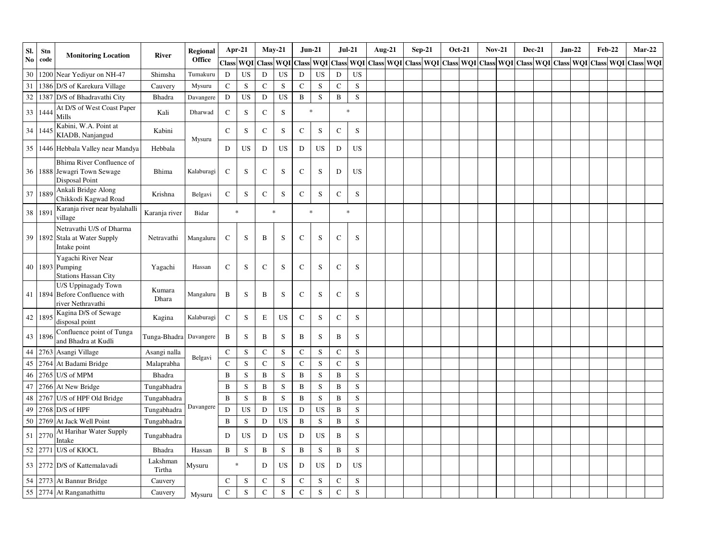| SI.    | Stn     | <b>Monitoring Location</b>                                                        | River              | Regional   | Apr-21       |           |              | $May-21$  |             | <b>Jun-21</b> | $Jul-21$       |             | Aug-21 | <b>Sep-21</b>                                                                                                 | Oct-21 | <b>Nov-21</b> | <b>Dec-21</b> |  | $Jan-22$ | <b>Feb-22</b> |  | $Mar-22$         |
|--------|---------|-----------------------------------------------------------------------------------|--------------------|------------|--------------|-----------|--------------|-----------|-------------|---------------|----------------|-------------|--------|---------------------------------------------------------------------------------------------------------------|--------|---------------|---------------|--|----------|---------------|--|------------------|
| No     | code    |                                                                                   |                    | Office     |              | Class WOI | <b>Class</b> | WOI       |             | Class WOI     |                |             |        | Class   WQI   Class   WQI   Class   WQI   Class   WQI   Class   WQI   Class   WQI   Class   WQI   Class   WQI |        |               |               |  |          |               |  | <b>Class WOI</b> |
| 30     | 1200    | Near Yediyur on NH-47                                                             | Shimsha            | Tumakuru   | D            | <b>US</b> | D            | <b>US</b> | $\mathbf D$ | <b>US</b>     | $\mathbf D$    | <b>US</b>   |        |                                                                                                               |        |               |               |  |          |               |  |                  |
| $31\,$ | 1386    | D/S of Karekura Village                                                           | Cauvery            | Mysuru     | $\mathbf C$  | S         | $\mathbf C$  | S         | $\mathbf C$ | S             | $\mathsf{C}$   | S           |        |                                                                                                               |        |               |               |  |          |               |  |                  |
| 32     | 1387    | D/S of Bhadravathi City                                                           | Bhadra             | Davangere  | ${\bf D}$    | <b>US</b> | ${\bf D}$    | <b>US</b> | $\mathbf B$ | $\mathbf S$   | $\, {\bf B}$   | ${\bf S}$   |        |                                                                                                               |        |               |               |  |          |               |  |                  |
| 33     | 1444    | At D/S of West Coast Paper<br>Mills                                               | Kali               | Dharwad    | $\mathbf C$  | ${\bf S}$ | $\mathbf C$  | S         |             | $\ast$        | $\ast$         |             |        |                                                                                                               |        |               |               |  |          |               |  |                  |
| 34     | 1445    | Kabini, W.A. Point at<br>KIADB, Nanjangud                                         | Kabini             | Mysuru     | $\mathbf C$  | S         | $\mathsf{C}$ | S         | $\mathbf C$ | $\mathbf S$   | $\mathsf{C}$   | S           |        |                                                                                                               |        |               |               |  |          |               |  |                  |
| 35     |         | 1446 Hebbala Valley near Mandya                                                   | Hebbala            |            | D            | <b>US</b> | ${\bf D}$    | <b>US</b> | ${\bf D}$   | <b>US</b>     | ${\bf D}$      | <b>US</b>   |        |                                                                                                               |        |               |               |  |          |               |  |                  |
|        |         | Bhima River Confluence of<br>36 1888 Jewagri Town Sewage<br><b>Disposal Point</b> | <b>Bhima</b>       | Kalaburagi | $\mathbf C$  | S         | C            | S         | $\mathbf C$ | S             | D              | <b>US</b>   |        |                                                                                                               |        |               |               |  |          |               |  |                  |
| 37     | 1889    | Ankali Bridge Along<br>Chikkodi Kagwad Road                                       | Krishna            | Belgavi    | ${\bf C}$    | S         | $\mathbf C$  | ${\bf S}$ | $\mathbf C$ | ${\bf S}$     | ${\bf C}$      | $\mathbf S$ |        |                                                                                                               |        |               |               |  |          |               |  |                  |
|        | 38 189  | Karanja river near byalahalli<br>village                                          | Karanja river      | Bidar      |              | $\ast$    |              | $\ast$    |             | $\ast$        | $\ast$         |             |        |                                                                                                               |        |               |               |  |          |               |  |                  |
|        |         | Netravathi U/S of Dharma<br>39 1892 Stala at Water Supply<br>Intake point         | Netravathi         | Mangaluru  | $\mathbf C$  | ${\bf S}$ | B            | ${\bf S}$ | ${\bf C}$   | ${\bf S}$     | ${\bf C}$      | ${\bf S}$   |        |                                                                                                               |        |               |               |  |          |               |  |                  |
|        |         | Yagachi River Near<br>40 1893 Pumping<br><b>Stations Hassan City</b>              | Yagachi            | Hassan     | $\mathbf C$  | S         | ${\bf C}$    | ${\bf S}$ | $\mathbf C$ | S             | ${\bf C}$      | S           |        |                                                                                                               |        |               |               |  |          |               |  |                  |
|        | 41 1894 | U/S Uppinagady Town<br>Before Confluence with<br>river Nethravathi                | Kumara<br>Dhara    | Mangaluru  | $\bf{B}$     | S         | B            | ${\bf S}$ | $\mathbf C$ | S             | ${\bf C}$      | ${\bf S}$   |        |                                                                                                               |        |               |               |  |          |               |  |                  |
|        | 42 1895 | Kagina D/S of Sewage<br>disposal point                                            | Kagina             | Kalaburagi | $\mathbf C$  | S         | E            | <b>US</b> | $\mathbf C$ | S             | $\mathbf C$    | S           |        |                                                                                                               |        |               |               |  |          |               |  |                  |
| 43     | 1896    | Confluence point of Tunga<br>and Bhadra at Kudli                                  | Tunga-Bhadra       | Davangere  | B            | S         | B            | S         | B           | S             | B              | S           |        |                                                                                                               |        |               |               |  |          |               |  |                  |
| 44     | 2763    | Asangi Village                                                                    | Asangi nalla       |            | $\mathsf C$  | ${\bf S}$ | ${\bf C}$    | ${\bf S}$ | $\mathbf C$ | ${\bf S}$     | ${\bf C}$      | S           |        |                                                                                                               |        |               |               |  |          |               |  |                  |
|        | 45 2764 | At Badami Bridge                                                                  | Malaprabha         | Belgavi    | $\mathbf C$  | ${\bf S}$ | $\mathsf{C}$ | S         | $\mathbf C$ | ${\bf S}$     | ${\bf C}$      | S           |        |                                                                                                               |        |               |               |  |          |               |  |                  |
| 46     | 2765    | U/S of MPM                                                                        | Bhadra             |            | $\mathbf{B}$ | ${\bf S}$ | $\, {\bf B}$ | S         | $\bf{B}$    | ${\bf S}$     | $\, {\bf B}$   | S           |        |                                                                                                               |        |               |               |  |          |               |  |                  |
| 47     | 2766    | At New Bridge                                                                     | Tungabhadra        |            | B            | S         | B            | S         | B           | $\mathbf S$   | B              | S           |        |                                                                                                               |        |               |               |  |          |               |  |                  |
| 48     | 2767    | U/S of HPF Old Bridge                                                             | Tungabhadra        |            | $\bf{B}$     | ${\bf S}$ | $\, {\bf B}$ | S         | B           | S             | $\overline{B}$ | S           |        |                                                                                                               |        |               |               |  |          |               |  |                  |
| 49     | 2768    | D/S of HPF                                                                        | Tungabhadra        | Davangere  | D            | <b>US</b> | D            | <b>US</b> | D           | <b>US</b>     | $\, {\bf B}$   | S           |        |                                                                                                               |        |               |               |  |          |               |  |                  |
|        | 50 2769 | At Jack Well Point                                                                | Tungabhadra        |            | B            | ${\bf S}$ | ${\bf D}$    | <b>US</b> | $\bf{B}$    | ${\bf S}$     | $\, {\bf B}$   | ${\bf S}$   |        |                                                                                                               |        |               |               |  |          |               |  |                  |
| 51     | 2770    | At Harihar Water Supply<br>Intake                                                 | Tungabhadra        |            | D            | US        | D            | <b>US</b> | ${\bf D}$   | US            | B              | $\mathbf S$ |        |                                                                                                               |        |               |               |  |          |               |  |                  |
|        | 52 2771 | U/S of KIOCL                                                                      | Bhadra             | Hassan     | $\, {\bf B}$ | S         | $\, {\bf B}$ | S         | $\bf{B}$    | ${\bf S}$     | $\bf{B}$       | S           |        |                                                                                                               |        |               |               |  |          |               |  |                  |
|        |         | 53 2772 D/S of Kattemalavadi                                                      | Lakshman<br>Tirtha | Mysuru     |              | $\ast$    | ${\bf D}$    | <b>US</b> | ${\bf D}$   | <b>US</b>     | D              | <b>US</b>   |        |                                                                                                               |        |               |               |  |          |               |  |                  |
| 54     |         | 2773 At Bannur Bridge                                                             | Cauvery            |            | $\mathbf C$  | ${\bf S}$ | ${\bf C}$    | ${\bf S}$ | $\mathbf C$ | $\mathbf S$   | ${\bf C}$      | ${\bf S}$   |        |                                                                                                               |        |               |               |  |          |               |  |                  |
|        |         | 55 2774 At Ranganathittu                                                          | Cauvery            | Mysuru     | $\mathbf C$  | ${\bf S}$ | $\mathbf C$  | S         | $\mathbf C$ | S             | $\mathcal{C}$  | S           |        |                                                                                                               |        |               |               |  |          |               |  |                  |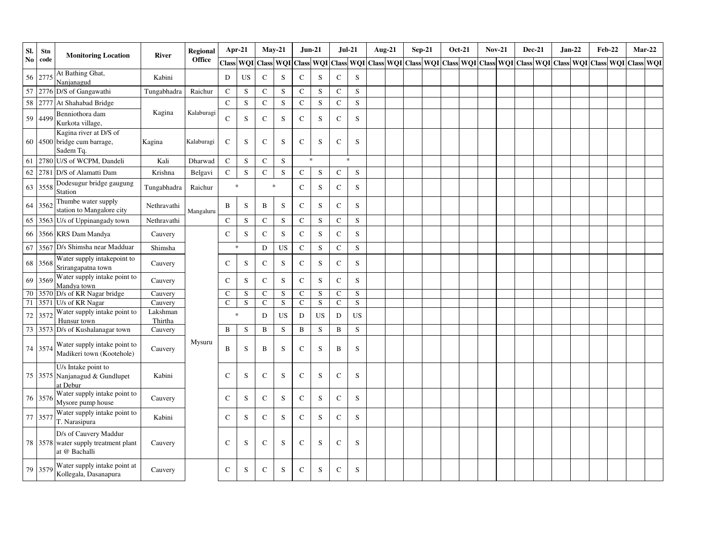| SI.           | Stn     | <b>Monitoring Location</b>                                                     | River               | <b>Regional</b> | Apr-21       |             | $May-21$     |             | $Jun-21$      |           | $Jul-21$     |             | <b>Aug-21</b> | <b>Sep-21</b> | <b>Oct-21</b> | <b>Nov-21</b> | <b>Dec-21</b>                                                                                                                                                                 | $Jan-22$ |  | <b>Feb-22</b> | $Mar-22$ |
|---------------|---------|--------------------------------------------------------------------------------|---------------------|-----------------|--------------|-------------|--------------|-------------|---------------|-----------|--------------|-------------|---------------|---------------|---------------|---------------|-------------------------------------------------------------------------------------------------------------------------------------------------------------------------------|----------|--|---------------|----------|
| $\mathbf{No}$ | code    |                                                                                |                     | Office          |              | Class WQI   |              |             |               |           |              |             |               |               |               |               | Class   WQI   Class   WQI   Class   WQI   Class   WQI   Class   Class   WQI   Class   WQI   Class   WQI   Class   WQI   Class   WQI   Class   WQI   Class   WQI   Class   WQI |          |  |               |          |
| 56            | 2775    | At Bathing Ghat,<br>Nanjanagud                                                 | Kabini              |                 | D            | <b>US</b>   | ${\bf C}$    | $\mathbf S$ | $\mathbf C$   | S         | ${\bf C}$    | ${\bf S}$   |               |               |               |               |                                                                                                                                                                               |          |  |               |          |
| 57            | 2776    | D/S of Gangawathi                                                              | Tungabhadra         | Raichur         | $\mathbf C$  | ${\bf S}$   | ${\bf C}$    | ${\bf S}$   | $\mathbf C$   | S         | $\mathbf C$  | S           |               |               |               |               |                                                                                                                                                                               |          |  |               |          |
| 58            | 2777    | At Shahabad Bridge                                                             |                     |                 | ${\bf C}$    | ${\bf S}$   | $\mathbf C$  | ${\bf S}$   | $\mathbf C$   | S         | $\mathsf{C}$ | S           |               |               |               |               |                                                                                                                                                                               |          |  |               |          |
| 59            | 4499    | Benniothora dam<br>Kurkota village,                                            | Kagina              | Kalaburagi      | $\mathbf{C}$ | S           | $\mathbf C$  | ${\bf S}$   | $\mathbf C$   | S         | $\mathsf{C}$ | S           |               |               |               |               |                                                                                                                                                                               |          |  |               |          |
| 60            |         | Kagina river at D/S of<br>4500 bridge cum barrage,<br>Sadem Tq.                | Kagina              | Kalaburagi      | $\mathbf C$  | S           | $\mathbf C$  | S           | $\mathbf C$   | S         | $\mathsf{C}$ | S           |               |               |               |               |                                                                                                                                                                               |          |  |               |          |
| 61            | 2780    | U/S of WCPM, Dandeli                                                           | Kali                | Dharwad         | $\mathbf C$  | S           | ${\bf C}$    | S           | $\ast$        |           | $\ast$       |             |               |               |               |               |                                                                                                                                                                               |          |  |               |          |
| 62            | 2781    | D/S of Alamatti Dam                                                            | Krishna             | Belgavi         | $\mathbf C$  | ${\bf S}$   | $\mathbf C$  | ${\bf S}$   | $\mathsf C$   | S         | $\mathbf C$  | ${\bf S}$   |               |               |               |               |                                                                                                                                                                               |          |  |               |          |
| 63            | 3558    | Dodesugur bridge gaugung<br>Station                                            | Tungabhadra         | Raichur         | $\ast$       |             | $\ast$       |             | $\mathsf C$   | S         | $\mathsf{C}$ | S           |               |               |               |               |                                                                                                                                                                               |          |  |               |          |
| 64            | 3562    | Thumbe water supply<br>station to Mangalore city                               | Nethravathi         | Mangaluru       | $\, {\bf B}$ | ${\bf S}$   | $\, {\bf B}$ | S           | $\mathbf C$   | S         | $\mathbf C$  | S           |               |               |               |               |                                                                                                                                                                               |          |  |               |          |
| 65            | 3563    | U/s of Uppinangady town                                                        | Nethravathi         |                 | $\mathbf C$  | ${\bf S}$   | ${\bf C}$    | ${\bf S}$   | $\mathbf C$   | S         | $\mathsf{C}$ | S           |               |               |               |               |                                                                                                                                                                               |          |  |               |          |
| 66            |         | 3566 KRS Dam Mandya                                                            | Cauvery             |                 | $\mathbf C$  | S           | $\mathbf C$  | ${\bf S}$   | $\mathsf C$   | S         | $\mathbf C$  | S           |               |               |               |               |                                                                                                                                                                               |          |  |               |          |
| 67            | 3567    | D/s Shimsha near Madduar                                                       | Shimsha             |                 | $\ast$       |             | $\mathbf D$  | <b>US</b>   | $\mathbf C$   | S         | $\mathsf{C}$ | S           |               |               |               |               |                                                                                                                                                                               |          |  |               |          |
| 68            | 3568    | Water supply intakepoint to<br>Srirangapatna town                              | Cauvery             |                 | $\mathbf C$  | S           | $\mathbf C$  | ${\bf S}$   | $\mathbf C$   | S         | $\mathbf C$  | S           |               |               |               |               |                                                                                                                                                                               |          |  |               |          |
| 69            | 3569    | Water supply intake point to<br>Mandya town                                    | Cauvery             |                 | $\mathbf C$  | ${\bf S}$   | ${\bf C}$    | ${\bf S}$   | ${\bf C}$     | S         | $\mathsf{C}$ | S           |               |               |               |               |                                                                                                                                                                               |          |  |               |          |
| 70            | 3570    | D/s of KR Nagar bridge                                                         | Cauvery             |                 | $\mathbf C$  | ${\bf S}$   | $\mathbf C$  | $\mathbf S$ | $\mathbf C$   | S         | $\mathbf C$  | S           |               |               |               |               |                                                                                                                                                                               |          |  |               |          |
| 71            | 3571    | U/s of KR Nagar                                                                | Cauvery<br>Lakshman |                 | $\mathbf C$  | $\mathbf S$ | ${\bf C}$    | ${\bf S}$   | $\mathbf C$   | ${\bf S}$ | $\mathbf C$  | $\mathbf S$ |               |               |               |               |                                                                                                                                                                               |          |  |               |          |
| $72\,$        | 3572    | Water supply intake point to<br>Hunsur town                                    | Thirtha             |                 | $\ast$       |             | ${\bf D}$    | <b>US</b>   | D             | US        | D            | <b>US</b>   |               |               |               |               |                                                                                                                                                                               |          |  |               |          |
| 73            |         | 3573 D/s of Kushalanagar town                                                  | Cauvery             |                 | B            | S           | $\, {\bf B}$ | ${\bf S}$   | $\mathbf B$   | S         | $\, {\bf B}$ | S           |               |               |               |               |                                                                                                                                                                               |          |  |               |          |
| 74            | 3574    | Water supply intake point to<br>Madikeri town (Kootehole)                      | Cauvery             | Mysuru          | B            | S           | $\, {\bf B}$ | S           | $\mathcal{C}$ | S         | B            | S           |               |               |               |               |                                                                                                                                                                               |          |  |               |          |
| 75            |         | U/s Intake point to<br>3575 Nanjanagud & Gundlupet<br>at Debur                 | Kabini              |                 | C            | S           | $\mathbf C$  | S           | $\mathsf{C}$  | S         | $\mathsf{C}$ | S           |               |               |               |               |                                                                                                                                                                               |          |  |               |          |
| 76            | 3576    | Water supply intake point to<br>Mysore pump house                              | Cauvery             |                 | $\mathbf C$  | S           | ${\bf C}$    | $\mathbf S$ | $\mathbf C$   | S         | $\mathbf C$  | S           |               |               |               |               |                                                                                                                                                                               |          |  |               |          |
|               | 77 3577 | Water supply intake point to<br>T. Narasipura                                  | Kabini              |                 | $\mathbf C$  | $\mathbf S$ | ${\bf C}$    | ${\bf S}$   | ${\bf C}$     | S         | $\mathbf C$  | $\mathbf S$ |               |               |               |               |                                                                                                                                                                               |          |  |               |          |
|               |         | D/s of Cauvery Maddur<br>78 3578 water supply treatment plant<br>at @ Bachalli | Cauvery             |                 | $\mathsf{C}$ | S           | $\mathsf{C}$ | S           | $\mathcal{C}$ | S         | $\mathsf{C}$ | S           |               |               |               |               |                                                                                                                                                                               |          |  |               |          |
|               | 79 3579 | Water supply intake point at<br>Kollegala, Dasanapura                          | Cauvery             |                 | $\mathbf C$  | S           | $\mathbf C$  | S           | $\mathbf C$   | S         | $\mathsf{C}$ | S           |               |               |               |               |                                                                                                                                                                               |          |  |               |          |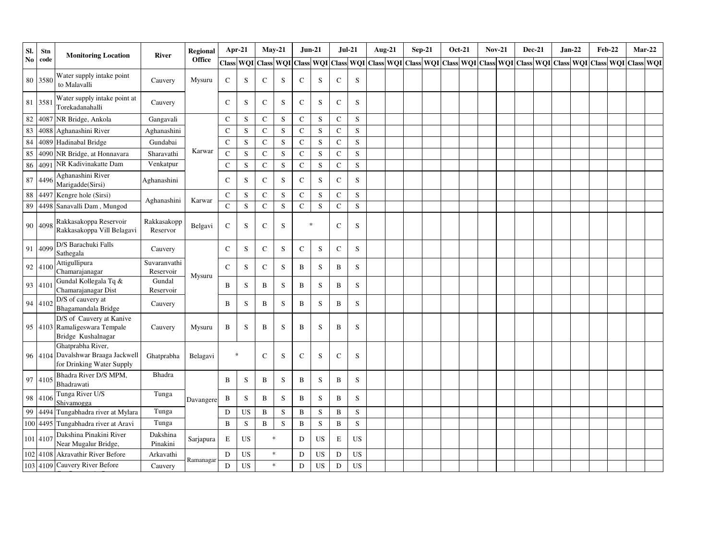| SI.    | Stn      | <b>Monitoring Location</b>                                                           | River                     | Regional      |                | Apr-21           |              | $May-21$    | $Jun-21$     |             | $Jul-21$      |           | <b>Aug-21</b>                                                                                                                                                                                                                | $Sep-21$ |  | Oct-21 | <b>Nov-21</b> |  | <b>Dec-21</b> | $Jan-22$ | <b>Feb-22</b> |  | $Mar-22$ |
|--------|----------|--------------------------------------------------------------------------------------|---------------------------|---------------|----------------|------------------|--------------|-------------|--------------|-------------|---------------|-----------|------------------------------------------------------------------------------------------------------------------------------------------------------------------------------------------------------------------------------|----------|--|--------|---------------|--|---------------|----------|---------------|--|----------|
| No     | code     |                                                                                      |                           | <b>Office</b> |                | <b>Class WQI</b> | <b>Class</b> |             |              |             |               |           | WQI   Class   WQI   Class   WQI   Class   WQI   Class   WQI   Class   WQI   Class   WQI   Class   WQI   Class   WQI   Class   WQI   Class   WQI   Class   WQI   Class   WQI   Class   WQI   Class   WQI   Class   WQI   Clas |          |  |        |               |  |               |          |               |  |          |
|        | 80 3580  | Water supply intake point<br>to Malavalli                                            | Cauvery                   | Mysuru        | C              | S                | C            | S           | $\mathsf C$  | S           | $\mathsf{C}$  | S         |                                                                                                                                                                                                                              |          |  |        |               |  |               |          |               |  |          |
| 81     | 3581     | Water supply intake point at<br>Torekadanahalli                                      | Cauvery                   |               | $\mathsf{C}$   | S                | $\mathbf C$  | S           | $\mathbf C$  | S           | $\mathsf{C}$  | S         |                                                                                                                                                                                                                              |          |  |        |               |  |               |          |               |  |          |
| $82\,$ | 4087     | NR Bridge, Ankola                                                                    | Gangavali                 |               | $\mathcal{C}$  | S                | C            | S           | $\mathsf{C}$ | S           | $\mathsf{C}$  | S         |                                                                                                                                                                                                                              |          |  |        |               |  |               |          |               |  |          |
| 83     | 4088     | Aghanashini River                                                                    | Aghanashini               |               | $\mathbf C$    | S                | $\mathbf{C}$ | S           | $\mathbf C$  | S           | $\mathsf{C}$  | S         |                                                                                                                                                                                                                              |          |  |        |               |  |               |          |               |  |          |
| 84     | 4089     | Hadinabal Bridge                                                                     | Gundabai                  |               | $\mathcal{C}$  | S                | C            | S           | $\mathbf C$  | S           | $\mathsf{C}$  | S         |                                                                                                                                                                                                                              |          |  |        |               |  |               |          |               |  |          |
| 85     | 4090     | NR Bridge, at Honnavara                                                              | Sharavathi                | Karwar        | $\overline{C}$ | S                | $\mathbf{C}$ | S           | $\mathbf C$  | S           | $\mathbf C$   | ${\bf S}$ |                                                                                                                                                                                                                              |          |  |        |               |  |               |          |               |  |          |
| 86     | 409      | NR Kadivinakatte Dam                                                                 | Venkatpur                 |               | $\mathbf C$    | ${\bf S}$        | $\mathbf C$  | S           | ${\bf C}$    | $\mathbf S$ | $\mathbf C$   | ${\bf S}$ |                                                                                                                                                                                                                              |          |  |        |               |  |               |          |               |  |          |
| 87     | 4496     | Aghanashini River<br>Marigadde(Sirsi)                                                | Aghanashini               |               | $\mathbf C$    | S                | ${\bf C}$    | S           | $\mathbf C$  | S           | $\mathbf C$   | S         |                                                                                                                                                                                                                              |          |  |        |               |  |               |          |               |  |          |
|        | 88 4497  | Kengre hole (Sirsi)                                                                  |                           |               | $\mathbf C$    | S                | C            | S           | ${\bf C}$    | $\mathbf S$ | $\mathbf C$   | S         |                                                                                                                                                                                                                              |          |  |        |               |  |               |          |               |  |          |
| 89     |          | 4498 Sanavalli Dam, Mungod                                                           | Aghanashini               | Karwar        | $\mathbf C$    | ${\bf S}$        | $\mathbf C$  | S           | ${\bf C}$    | $\mathbf S$ | $\mathbf C$   | S         |                                                                                                                                                                                                                              |          |  |        |               |  |               |          |               |  |          |
|        | 90 4098  | Rakkasakoppa Reservoir<br>Rakkasakoppa Vill Belagavi                                 | Rakkasakopp<br>Reservor   | Belgavi       | $\mathsf{C}$   | S                | C            | S           | $\ast$       |             | $\mathcal{C}$ | S         |                                                                                                                                                                                                                              |          |  |        |               |  |               |          |               |  |          |
|        | 91 4099  | D/S Barachuki Falls<br>Sathegala                                                     | Cauvery                   |               | $\mathbf C$    | S                | $\mathbf C$  | S           | $\mathbf C$  | S           | $\mathbf C$   | S         |                                                                                                                                                                                                                              |          |  |        |               |  |               |          |               |  |          |
|        | 92 4100  | Attigullipura<br>Chamarajanagar                                                      | Suvaranvathi<br>Reservoir | Mysuru        | C              | S                | C            | S           | B            | S           | B             | S         |                                                                                                                                                                                                                              |          |  |        |               |  |               |          |               |  |          |
|        | 93 4101  | Gundal Kollegala Tq &<br>Chamarajanagar Dist                                         | Gundal<br>Reservoir       |               | B              | S                | B            | $\mathbf S$ | $\, {\bf B}$ | $\mathbf S$ | $\, {\bf B}$  | S         |                                                                                                                                                                                                                              |          |  |        |               |  |               |          |               |  |          |
|        | 94 4102  | D/S of cauvery at<br>Bhagamandala Bridge                                             | Cauvery                   |               | B              | S                | B            | S           | $\, {\bf B}$ | $\mathbf S$ | B             | S         |                                                                                                                                                                                                                              |          |  |        |               |  |               |          |               |  |          |
|        |          | D/S of Cauvery at Kanive<br>95 4103 Ramaligeswara Tempale<br>Bridge Kushalnagar      | Cauvery                   | Mysuru        | B              | S                | B            | S           | $\, {\bf B}$ | S           | B             | S         |                                                                                                                                                                                                                              |          |  |        |               |  |               |          |               |  |          |
|        |          | Ghatprabha River,<br>96 4104 Davalshwar Braaga Jackwell<br>for Drinking Water Supply | Ghatprabha                | Belagavi      |                | $\ast$           | $\mathbf C$  | S           | $\mathsf C$  | S           | $\mathsf{C}$  | S         |                                                                                                                                                                                                                              |          |  |        |               |  |               |          |               |  |          |
|        | 97 4105  | Bhadra River D/S MPM,<br>Bhadrawati                                                  | Bhadra                    |               | B              | S                | B            | S           | B            | S           | B             | S         |                                                                                                                                                                                                                              |          |  |        |               |  |               |          |               |  |          |
|        | 98 4106  | Tunga River U/S<br>Shivamogga                                                        | Tunga                     | Davangere     | B              | S                | B            | S           | $\, {\bf B}$ | S           | $\mathbf B$   | S         |                                                                                                                                                                                                                              |          |  |        |               |  |               |          |               |  |          |
|        | 99 4494  | Tungabhadra river at Mylara                                                          | Tunga                     |               | D              | <b>US</b>        | $\, {\bf B}$ | ${\bf S}$   | $\, {\bf B}$ | S           | $\bf{B}$      | S         |                                                                                                                                                                                                                              |          |  |        |               |  |               |          |               |  |          |
|        | 100 4495 | Tungabhadra river at Aravi                                                           | Tunga                     |               | B              | ${\bf S}$        | $\, {\bf B}$ | $\mathbf S$ | $\, {\bf B}$ | S           | $\mathbf B$   | S         |                                                                                                                                                                                                                              |          |  |        |               |  |               |          |               |  |          |
|        | 101 4107 | Dakshina Pinakini River<br>Near Mugalur Bridge,                                      | Dakshina<br>Pinakini      | Sarjapura     | $\mathbf E$    | <b>US</b>        |              | $\ast$      | D            | <b>US</b>   | E             | <b>US</b> |                                                                                                                                                                                                                              |          |  |        |               |  |               |          |               |  |          |
|        | 102 4108 | Akravathir River Before                                                              | Arkavathi                 |               | D              | US               |              | $\ast$      | D            | <b>US</b>   | D             | US        |                                                                                                                                                                                                                              |          |  |        |               |  |               |          |               |  |          |
|        |          | 103 4109 Cauvery River Before                                                        | Cauvery                   | Ramanagar     | D              | US               |              | $\ast$      | $\mathbf D$  | US          | D             | <b>US</b> |                                                                                                                                                                                                                              |          |  |        |               |  |               |          |               |  |          |

Confluence At Sangam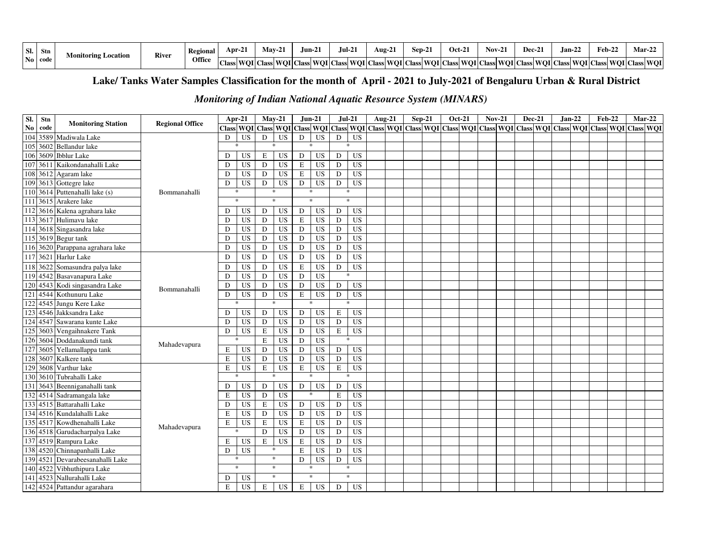| SI.<br>Stn               | Location !<br>.vlonitorīng " | <b>River</b> | Regional | Apr-21                          | <b>May-2.</b>      | .Jun-2. | $\mathbf{z}$<br>Jul-2         | $\sim$<br>Aug-21 | -<br>Sen-∠          | $Oct-2$ | $N0V - 2$ | Dec-2.                                                                   | --<br>Jan-22 | $\mathbf{Feb-}22$ | $Mar-22$ |
|--------------------------|------------------------------|--------------|----------|---------------------------------|--------------------|---------|-------------------------------|------------------|---------------------|---------|-----------|--------------------------------------------------------------------------|--------------|-------------------|----------|
| N <sub>0</sub><br>- code |                              |              | Office   | $\sim$<br>1577<br>υпе<br>URSS ! | Class  WOI   Class |         | WOI   Class   WOI   Class   1 |                  | VOI Class WOI Class |         |           | s  WOI   Class  WOI   Class  WOI   Class  WOI   Class  WOI   Class   WOI |              |                   |          |

### **Lake/ Tanks Water Samples Classification for the month of April - 2021 to July-2021 of Bengaluru Urban & Rural District**

### *Monitoring of Indian National Aquatic Resource System (MINARS)*

| SI.              | Stn  | <b>Monitoring Station</b>    | <b>Regional Office</b> |    | Apr-21       |             | $Mav-21$                                                                                                                                                                            |               | $Jun-21$        | $Jul-21$    |                 | Aug-21 | Sep-21 | <b>Oct-21</b> | <b>Nov-21</b> | <b>Dec-21</b> |  | $Jan-22$ | <b>Feb-22</b> |  | $Mar-22$ |
|------------------|------|------------------------------|------------------------|----|--------------|-------------|-------------------------------------------------------------------------------------------------------------------------------------------------------------------------------------|---------------|-----------------|-------------|-----------------|--------|--------|---------------|---------------|---------------|--|----------|---------------|--|----------|
| $\mathbf{No}$    | code |                              |                        |    |              |             | Class   WQI   Class   WQI   Class   WQI   Class   WQI   Class   WQI   Class   WQI   Class   WQI   Class   WQI   Class   WQI   Class   WQI   Class   WQI   Class   WQI   Class   WQI |               |                 |             |                 |        |        |               |               |               |  |          |               |  |          |
| 104              | 3589 | Madiwala Lake                |                        | D  | <b>US</b>    | D           | <b>US</b>                                                                                                                                                                           | D             | <b>US</b>       | D           | <b>US</b>       |        |        |               |               |               |  |          |               |  |          |
| 105              | 3602 | <b>Bellandur</b> lake        |                        |    | $\ast$       |             | $\ast$                                                                                                                                                                              |               | $\mathbf{g}_i$  |             |                 |        |        |               |               |               |  |          |               |  |          |
| 106              | 3609 | <b>Ibblur</b> Lake           |                        | D  | <b>US</b>    | $\mathbf E$ | <b>US</b>                                                                                                                                                                           | D             | <b>US</b>       | D           | <b>US</b>       |        |        |               |               |               |  |          |               |  |          |
| 107              | 3611 | Kaikondanahalli Lake         |                        | D  | <b>US</b>    | D           | <b>US</b>                                                                                                                                                                           | E             | <b>US</b>       | D           | <b>US</b>       |        |        |               |               |               |  |          |               |  |          |
| 108              | 3612 | Agaram lake                  |                        | D  | <b>US</b>    | D           | <b>US</b>                                                                                                                                                                           | E             | <b>US</b>       | D           | <b>US</b>       |        |        |               |               |               |  |          |               |  |          |
| 109              | 3613 | Gottegre lake                |                        | D  | <b>US</b>    | D           | <b>US</b>                                                                                                                                                                           | D             | <b>US</b>       | ${\rm D}$   | <b>US</b>       |        |        |               |               |               |  |          |               |  |          |
| $\overline{110}$ | 3614 | Puttenahalli lake (s)        | Bommanahalli           |    | $\ast$       |             | $\ast$                                                                                                                                                                              |               | $\ast$          |             | $\ast$          |        |        |               |               |               |  |          |               |  |          |
| 111              | 3615 | Arakere lake                 |                        |    | $\ast$       |             | $\ast$                                                                                                                                                                              | $\frac{1}{2}$ |                 | $\ast$      |                 |        |        |               |               |               |  |          |               |  |          |
| 112              |      | 3616 Kalena agrahara lake    |                        | D  | <b>US</b>    | D           | <b>US</b>                                                                                                                                                                           | $\mathbf D$   | <b>US</b>       | D           | <b>US</b>       |        |        |               |               |               |  |          |               |  |          |
| 113              | 3617 | Hulimavu lake                |                        | D  | <b>US</b>    | $\mathbf D$ | US                                                                                                                                                                                  | E             | <b>US</b>       | D           | <b>US</b>       |        |        |               |               |               |  |          |               |  |          |
| 114              | 3618 | Singasandra lake             |                        | D  | <b>US</b>    | $\mathbf D$ | <b>US</b>                                                                                                                                                                           | D             | $\overline{US}$ | ${\rm D}$   | <b>US</b>       |        |        |               |               |               |  |          |               |  |          |
| 115              |      | 3619 Begur tank              |                        | D  | <b>US</b>    | D           | <b>US</b>                                                                                                                                                                           | D             | US <sub></sub>  | D           | <b>US</b>       |        |        |               |               |               |  |          |               |  |          |
| 116              |      | 3620 Parappana agrahara lake |                        | D  | <b>US</b>    | D           | <b>US</b>                                                                                                                                                                           | D             | <b>US</b>       | D           | <b>US</b>       |        |        |               |               |               |  |          |               |  |          |
| 117              | 3621 | Harlur Lake                  |                        | D  | <b>US</b>    | D           | <b>US</b>                                                                                                                                                                           | D             | <b>US</b>       | D           | <b>US</b>       |        |        |               |               |               |  |          |               |  |          |
| 118              | 3622 | Somasundra palya lake        |                        | D  | <b>US</b>    | D           | <b>US</b>                                                                                                                                                                           | E             | <b>US</b>       | D           | <b>US</b>       |        |        |               |               |               |  |          |               |  |          |
|                  |      | 119 4542 Basavanapura Lake   |                        | D  | <b>US</b>    | D           | <b>US</b>                                                                                                                                                                           | D             | <b>US</b>       |             |                 |        |        |               |               |               |  |          |               |  |          |
| 120              | 4543 | Kodi singasandra Lake        | Bommanahalli           | D  | <b>US</b>    | D           | <b>US</b>                                                                                                                                                                           | D             | $\overline{US}$ | D           | <b>US</b>       |        |        |               |               |               |  |          |               |  |          |
| 121              | 4544 | Kothunuru Lake               |                        | D  | <b>US</b>    | ${\rm D}$   | <b>US</b>                                                                                                                                                                           | $\mathbf E$   | <b>US</b>       | $\mathbf D$ | <b>US</b>       |        |        |               |               |               |  |          |               |  |          |
| 122              | 4545 | Jungu Kere Lake              |                        |    |              |             |                                                                                                                                                                                     |               | $\mathbf{g}_i$  |             |                 |        |        |               |               |               |  |          |               |  |          |
| 123              | 4546 | Jakksandra Lake              |                        | D  | <b>US</b>    | D           | <b>US</b>                                                                                                                                                                           | D             | <b>US</b>       | E           | <b>US</b>       |        |        |               |               |               |  |          |               |  |          |
| 124              | 4547 | Sawarana kunte Lake          |                        | D  | US           | ${\bf D}$   | US                                                                                                                                                                                  | D             | <b>US</b>       | ${\rm D}$   | <b>US</b>       |        |        |               |               |               |  |          |               |  |          |
| 125              | 3603 | Vengaihnakere Tank           |                        | D  | <b>US</b>    | $\mathbf E$ | <b>US</b>                                                                                                                                                                           | D             | <b>US</b>       | $\mathbf E$ | <b>US</b>       |        |        |               |               |               |  |          |               |  |          |
| 126              | 3604 | Doddanakundi tank            | Mahadevapura           |    |              | $\mathbf E$ | <b>US</b>                                                                                                                                                                           | D             | <b>US</b>       |             |                 |        |        |               |               |               |  |          |               |  |          |
| 127              | 3605 | Yellamallappa tank           |                        | Е  | <b>US</b>    | D           | <b>US</b>                                                                                                                                                                           | D             | <b>US</b>       | D           | <b>US</b>       |        |        |               |               |               |  |          |               |  |          |
| 128              | 3607 | Kalkere tank                 |                        | E  | <b>US</b>    | D           | <b>US</b>                                                                                                                                                                           | D             | <b>US</b>       | D           | <b>US</b>       |        |        |               |               |               |  |          |               |  |          |
| 129              | 3608 | Varthur lake                 |                        | E  | <b>US</b>    | $\mathbf E$ | <b>US</b>                                                                                                                                                                           | E             | <b>US</b>       | $\mathbf E$ | <b>US</b>       |        |        |               |               |               |  |          |               |  |          |
| 130              | 3610 | Tubrahalli Lake              |                        |    |              |             |                                                                                                                                                                                     |               |                 |             | $\ast$          |        |        |               |               |               |  |          |               |  |          |
| 131              | 3643 | Beenniganahalli tank         |                        | D  | <b>US</b>    | D           | <b>US</b>                                                                                                                                                                           | ${\bf D}$     | <b>US</b>       | D           | <b>US</b>       |        |        |               |               |               |  |          |               |  |          |
| 132              | 4514 | Sadramangala lake            |                        | E  | <b>US</b>    | $\mathbf D$ | <b>US</b>                                                                                                                                                                           |               | ×.              | $\mathbf E$ | <b>US</b>       |        |        |               |               |               |  |          |               |  |          |
| 133              | 4515 | Battarahalli Lake            |                        | D  | <b>US</b>    | $\mathbf E$ | $\overline{US}$                                                                                                                                                                     | D             | <b>US</b>       | D           | <b>US</b>       |        |        |               |               |               |  |          |               |  |          |
| 134              | 4516 | Kundalahalli Lake            |                        | E  | <b>US</b>    | ${\rm D}$   | <b>US</b>                                                                                                                                                                           | D             | $\overline{US}$ | D           | <b>US</b>       |        |        |               |               |               |  |          |               |  |          |
| 135              | 4517 | Kowdhenahalli Lake           | Mahadevapura           | E  | <b>US</b>    | $\mathbf E$ | <b>US</b>                                                                                                                                                                           | E             | $\overline{US}$ | D           | $\overline{US}$ |        |        |               |               |               |  |          |               |  |          |
| 136              |      | 4518 Garudacharpalya Lake    |                        |    | sk.          | D           | <b>US</b>                                                                                                                                                                           | D             | US              | D           | $\overline{US}$ |        |        |               |               |               |  |          |               |  |          |
| 137              |      | 4519 Rampura Lake            |                        | E  | US           | $\mathbf E$ | <b>US</b>                                                                                                                                                                           | E             | <b>US</b>       | D           | <b>US</b>       |        |        |               |               |               |  |          |               |  |          |
| 138              |      | 4520 Chinnapanhalli Lake     |                        | D. | <b>US</b>    |             | $\ast$                                                                                                                                                                              | E             | <b>US</b>       | D           | <b>US</b>       |        |        |               |               |               |  |          |               |  |          |
| 139              | 4521 | Devarabeesanahalli Lake      |                        |    | $\mathbf{x}$ |             | $\ast$                                                                                                                                                                              | D             | <b>US</b>       | D           | <b>US</b>       |        |        |               |               |               |  |          |               |  |          |
| 140              | 4522 | Vibhuthipura Lake            |                        |    | $\ast$       |             | $\ast$                                                                                                                                                                              |               | $\ast$          |             | $\ast$          |        |        |               |               |               |  |          |               |  |          |
| 141              | 4523 | Nallurahalli Lake            |                        | D  | US           |             | $\ast$                                                                                                                                                                              |               | $\ast$          |             | $\ast$          |        |        |               |               |               |  |          |               |  |          |
| 142              |      | 4524 Pattandur agarahara     |                        | E  | <b>US</b>    | E           | US                                                                                                                                                                                  | E             | <b>US</b>       | D           | US              |        |        |               |               |               |  |          |               |  |          |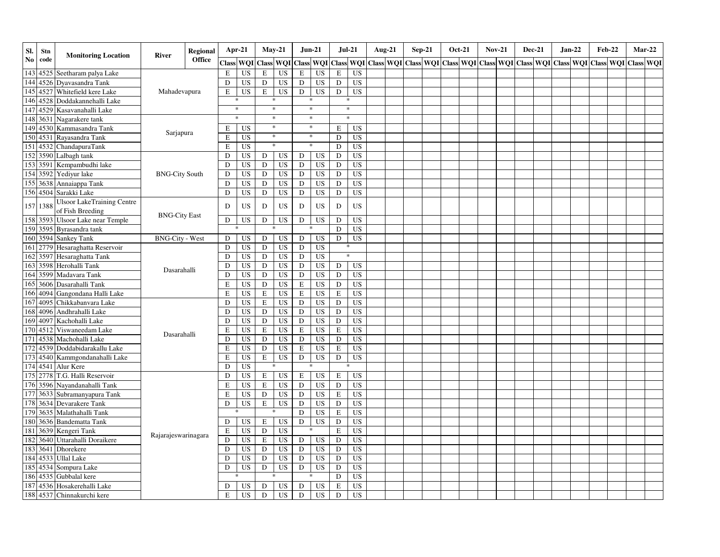| SI.              | Stn      | <b>Monitoring Location</b>                     | River                  | <b>Regional</b>      |             | Apr-21    | $May-21$     |                 |             | Jun-21                 |             | $Jul-21$  | Aug-21                                                                    | $Sep-21$ |  | <b>Oct-21</b> | <b>Nov-21</b> | <b>Dec-21</b> |  | Jan-22 | <b>Feb-22</b> |                     | $Mar-22$ |
|------------------|----------|------------------------------------------------|------------------------|----------------------|-------------|-----------|--------------|-----------------|-------------|------------------------|-------------|-----------|---------------------------------------------------------------------------|----------|--|---------------|---------------|---------------|--|--------|---------------|---------------------|----------|
| $\mathbf{No}$    | code     |                                                |                        | <b>Office</b>        |             | Class WQI | <b>Class</b> | <b>WQI</b>      |             | <b>Class WOI Class</b> |             |           | WOI Class WOI Class WOI Class WOI Class WOI Class WOI Class WOI Class WOI |          |  |               |               |               |  |        |               | Class WOI Class WOI |          |
|                  | 143 4525 | Seetharam palya Lake                           |                        |                      | E           | <b>US</b> | E            | <b>US</b>       | E           | <b>US</b>              | $\mathbf E$ | <b>US</b> |                                                                           |          |  |               |               |               |  |        |               |                     |          |
|                  | 144 4526 | Dyavasandra Tank                               |                        |                      | D           | <b>US</b> | D            | <b>US</b>       | D           | <b>US</b>              | $\mathbf D$ | <b>US</b> |                                                                           |          |  |               |               |               |  |        |               |                     |          |
| 145              | 4527     | Whitefield kere Lake                           | Mahadevapura           |                      | E           | <b>US</b> | E            | <b>US</b>       | D           | <b>US</b>              | ${\rm D}$   | <b>US</b> |                                                                           |          |  |               |               |               |  |        |               |                     |          |
| 146              | 4528     | Doddakannehalli Lake                           |                        |                      |             | *         |              | $\ast$          |             | $\ast$                 | *           |           |                                                                           |          |  |               |               |               |  |        |               |                     |          |
| 147              | 4529     | Kasavanahalli Lake                             |                        |                      |             | $\ast$    |              | $\ast$          |             | $\ast$                 |             | $\ast$    |                                                                           |          |  |               |               |               |  |        |               |                     |          |
| 148              | 3631     | Nagarakere tank                                |                        |                      |             | $\ast$    |              | $\ast$          |             | $\ast$                 |             | $\ast$    |                                                                           |          |  |               |               |               |  |        |               |                     |          |
|                  | 149 4530 | Kammasandra Tank                               |                        |                      | Е           | <b>US</b> |              | $\ast$          |             | $\ast$                 | E           | <b>US</b> |                                                                           |          |  |               |               |               |  |        |               |                     |          |
| 150              | 4531     | Rayasandra Tank                                | Sarjapura              |                      | E           | <b>US</b> |              | $\ast$          |             | $\ast$                 | ${\rm D}$   | <b>US</b> |                                                                           |          |  |               |               |               |  |        |               |                     |          |
|                  | 151 4532 | ChandapuraTank                                 |                        |                      | E           | <b>US</b> |              | $\ast$          |             | $\ast$                 | D           | <b>US</b> |                                                                           |          |  |               |               |               |  |        |               |                     |          |
| 152              | 3590     | Lalbagh tank                                   |                        |                      | D           | <b>US</b> | D            | US              | D           | US                     | D           | <b>US</b> |                                                                           |          |  |               |               |               |  |        |               |                     |          |
|                  | 153 3591 | Kempambudhi lake                               |                        |                      | D           | <b>US</b> | D            | <b>US</b>       | D           | US                     | D           | US        |                                                                           |          |  |               |               |               |  |        |               |                     |          |
|                  | 154 3592 | Yediyur lake                                   | <b>BNG-City South</b>  |                      | D           | <b>US</b> | D            | <b>US</b>       | D           | <b>US</b>              | D           | US        |                                                                           |          |  |               |               |               |  |        |               |                     |          |
|                  | 155 3638 | Annaiappa Tank                                 |                        |                      | D           | <b>US</b> | D            | <b>US</b>       | D           | <b>US</b>              | $\mathbf D$ | US        |                                                                           |          |  |               |               |               |  |        |               |                     |          |
|                  | 156 4504 | Sarakki Lake                                   |                        |                      | D           | <b>US</b> | D            | <b>US</b>       | D           | <b>US</b>              | $\mathbf D$ | <b>US</b> |                                                                           |          |  |               |               |               |  |        |               |                     |          |
|                  | 157 1388 | Ulsoor LakeTraining Centre<br>of Fish Breeding |                        |                      | D           | <b>US</b> | D            | <b>US</b>       | D           | US                     | D           | US        |                                                                           |          |  |               |               |               |  |        |               |                     |          |
|                  | 158 3593 | <b>Ulsoor Lake near Temple</b>                 |                        |                      | D           | <b>US</b> | D            | <b>US</b>       | D           | <b>US</b>              | D           | <b>US</b> |                                                                           |          |  |               |               |               |  |        |               |                     |          |
|                  | 159 3595 | Byrasandra tank                                |                        | <b>BNG-City East</b> |             |           |              |                 |             |                        | $\mathbf D$ | <b>US</b> |                                                                           |          |  |               |               |               |  |        |               |                     |          |
| 160              | 3594     | <b>Sankey Tank</b>                             | <b>BNG-City - West</b> |                      | D           | US        | D            | US              | D           | US                     | ${\rm D}$   | <b>US</b> |                                                                           |          |  |               |               |               |  |        |               |                     |          |
| 161              | 2779     | Hesaraghatta Reservoir                         |                        |                      | $\mathbf D$ | <b>US</b> | D            | US              | D           | <b>US</b>              |             |           |                                                                           |          |  |               |               |               |  |        |               |                     |          |
| 162              | 3597     | Hesaraghatta Tank                              |                        |                      | ${\bf D}$   | <b>US</b> | D            | <b>US</b>       | D           | <b>US</b>              | $\ast$      |           |                                                                           |          |  |               |               |               |  |        |               |                     |          |
| 163              | 3598     | Herohalli Tank                                 |                        |                      | D           | <b>US</b> | D            | <b>US</b>       | D           | <b>US</b>              | ${\rm D}$   | US        |                                                                           |          |  |               |               |               |  |        |               |                     |          |
|                  | 164 3599 | Madavara Tank                                  | Dasarahalli            |                      | D           | <b>US</b> | D            | <b>US</b>       | D           | <b>US</b>              | ${\rm D}$   | <b>US</b> |                                                                           |          |  |               |               |               |  |        |               |                     |          |
| 165              | 3606     | Dasarahalli Tank                               |                        |                      | $\mathbf E$ | <b>US</b> | D            | <b>US</b>       | E           | <b>US</b>              | $\mathbf D$ | US        |                                                                           |          |  |               |               |               |  |        |               |                     |          |
| 166              | 4094     | Gangondana Halli Lake                          |                        |                      | ${\bf E}$   | <b>US</b> | $\mathbf E$  | US              | $\mathbf E$ | US                     | ${\bf E}$   | US        |                                                                           |          |  |               |               |               |  |        |               |                     |          |
| 167              | 4095     | Chikkabanvara Lake                             |                        |                      | D           | <b>US</b> | $\mathbf E$  | <b>US</b>       | D           | <b>US</b>              | $\mathbf D$ | <b>US</b> |                                                                           |          |  |               |               |               |  |        |               |                     |          |
| 168              | 4096     | Andhrahalli Lake                               |                        |                      | $\mathbf D$ | <b>US</b> | D            | <b>US</b>       | D           | <b>US</b>              | $\mathbf D$ | <b>US</b> |                                                                           |          |  |               |               |               |  |        |               |                     |          |
| 169              | 409      | Kachohalli Lake                                |                        |                      | D           | <b>US</b> | $\mathbf D$  | <b>US</b>       | D           | <b>US</b>              | $\mathbf D$ | <b>US</b> |                                                                           |          |  |               |               |               |  |        |               |                     |          |
| 170              | 4512     | Viswaneedam Lake                               |                        |                      | $\mathbf E$ | <b>US</b> | $\mathbf E$  | US              | $\bf E$     | <b>US</b>              | $\mathbf E$ | <b>US</b> |                                                                           |          |  |               |               |               |  |        |               |                     |          |
| 171              | 4538     | Machohalli Lake                                | Dasarahalli            |                      | D           | <b>US</b> | $\mathbf D$  | <b>US</b>       | D           | <b>US</b>              | $\mathbf D$ | <b>US</b> |                                                                           |          |  |               |               |               |  |        |               |                     |          |
| 172              | 4539     | Doddabidarakallu Lake                          |                        |                      | $\mathbf E$ | <b>US</b> | $\mathbf D$  | <b>US</b>       | E           | <b>US</b>              | ${\bf E}$   | <b>US</b> |                                                                           |          |  |               |               |               |  |        |               |                     |          |
| 173              | 4540     | Kammgondanahalli Lake                          |                        |                      | $\mathbf E$ | <b>US</b> | $\mathbf E$  | US              | D           | <b>US</b>              | $\mathbf D$ | <b>US</b> |                                                                           |          |  |               |               |               |  |        |               |                     |          |
|                  | 174 4541 | Alur Kere                                      |                        |                      | D           | <b>US</b> |              |                 |             |                        |             |           |                                                                           |          |  |               |               |               |  |        |               |                     |          |
| $\overline{175}$ | 2778     | T.G. Halli Reservoir                           |                        |                      | D           | <b>US</b> | E            | <b>US</b>       | E           | <b>US</b>              | $\mathbf E$ | US        |                                                                           |          |  |               |               |               |  |        |               |                     |          |
|                  | 176 3596 | Nayandanahalli Tank                            |                        |                      | $\mathbf E$ | <b>US</b> | $\mathbf E$  | <b>US</b>       | D           | <b>US</b>              | ${\bf D}$   | US        |                                                                           |          |  |               |               |               |  |        |               |                     |          |
| 177              | 3633     | Subramanyapura Tank                            |                        |                      | $\mathbf E$ | US        | D            | US              | D           | US                     | ${\bf E}$   | US        |                                                                           |          |  |               |               |               |  |        |               |                     |          |
| 178              | 3634     | Devarakere Tank                                |                        |                      | D           | <b>US</b> | $\mathbf E$  | <b>US</b>       | D           | <b>US</b>              | D           | <b>US</b> |                                                                           |          |  |               |               |               |  |        |               |                     |          |
| 179              | 3635     | Malathahalli Tank                              |                        |                      |             |           |              |                 | D           | <b>US</b>              | $\mathbf E$ | <b>US</b> |                                                                           |          |  |               |               |               |  |        |               |                     |          |
| 180              | 3636     | <b>Bandematta Tank</b>                         |                        |                      | D           | <b>US</b> | $\mathbf E$  | US              | D           | <b>US</b>              | $\mathbf D$ | <b>US</b> |                                                                           |          |  |               |               |               |  |        |               |                     |          |
| 181              | 3639     | Kengeri Tank                                   |                        |                      | E           | <b>US</b> | $\mathbf D$  | $\overline{US}$ |             | *                      | ${\bf E}$   | <b>US</b> |                                                                           |          |  |               |               |               |  |        |               |                     |          |
| 182              | 3640     | Uttarahalli Doraikere                          | Rajarajeswarinagara    |                      | D           | <b>US</b> | $\mathbf E$  | <b>US</b>       | D           | <b>US</b>              | $\mathbf D$ | <b>US</b> |                                                                           |          |  |               |               |               |  |        |               |                     |          |
| 183              | 364      | Dhorekere                                      |                        |                      | D           | <b>US</b> | $\mathbf D$  | <b>US</b>       | D           | <b>US</b>              | $\mathbf D$ | US        |                                                                           |          |  |               |               |               |  |        |               |                     |          |
|                  | 184 4533 | <b>Ullal Lake</b>                              |                        |                      | D           | <b>US</b> | D            | <b>US</b>       | D           | <b>US</b>              | ${\bf D}$   | US        |                                                                           |          |  |               |               |               |  |        |               |                     |          |
| 185              | 4534     | Sompura Lake                                   |                        |                      | D           | <b>US</b> | $\mathbf D$  | <b>US</b>       | D           | <b>US</b>              | $\mathbf D$ | US        |                                                                           |          |  |               |               |               |  |        |               |                     |          |
| 186              | 4535     | Gubbalal kere                                  |                        |                      |             |           |              |                 |             |                        | D           | US        |                                                                           |          |  |               |               |               |  |        |               |                     |          |
| 187              | 4536     | Hosakerehalli Lake                             |                        |                      | D           | <b>US</b> | D            | <b>US</b>       | D           | US                     | E           | US        |                                                                           |          |  |               |               |               |  |        |               |                     |          |
|                  |          | 188 4537 Chinnakurchi kere                     |                        |                      | E           | <b>US</b> | D            | <b>US</b>       | D           | <b>US</b>              | ${\bf D}$   | US        |                                                                           |          |  |               |               |               |  |        |               |                     |          |
|                  |          |                                                |                        |                      |             |           |              |                 |             |                        |             |           |                                                                           |          |  |               |               |               |  |        |               |                     |          |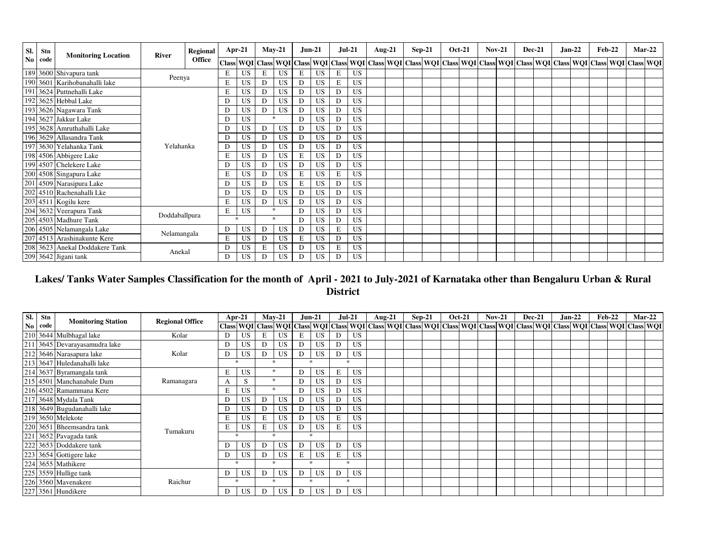| SI.            | Stn  | <b>Monitoring Location</b>     | <b>River</b>  | Regional      |   | Apr-21    |   | $May-21$      |   | <b>Jun-21</b> | $Jul-21$ |           | Aug-21 | $Sep-21$ | <b>Oct-21</b> | $Nov-21$ | <b>Dec-21</b> |  | Jan-22 | <b>Feb-22</b> |                                                                                                                                                                        | $Mar-22$ |
|----------------|------|--------------------------------|---------------|---------------|---|-----------|---|---------------|---|---------------|----------|-----------|--------|----------|---------------|----------|---------------|--|--------|---------------|------------------------------------------------------------------------------------------------------------------------------------------------------------------------|----------|
| N <sub>0</sub> | code |                                |               | <b>Office</b> |   |           |   |               |   |               |          |           |        |          |               |          |               |  |        |               | Class  WQI   Class  WQI   Class  WQI   Class  WQI   Class  WQI   Class  WQI   Class  WQI   Class  WQI   Class  WQI   Class  WQI   Class  WQI   Class  WQI   Class  WQI |          |
|                |      | 189 3600 Shivapura tank        | Peenya        |               | E | <b>US</b> | E | <b>US</b>     | Ε | <b>US</b>     | Е        | <b>US</b> |        |          |               |          |               |  |        |               |                                                                                                                                                                        |          |
|                |      | 190 3601 Karihobanahalli lake  |               |               | E | <b>US</b> | D | <b>US</b>     | D | US.           | Е        | <b>US</b> |        |          |               |          |               |  |        |               |                                                                                                                                                                        |          |
|                |      | 191 3624 Puttnehalli Lake      |               |               | E | <b>US</b> | D | <b>US</b>     | D | <b>US</b>     | D        | <b>US</b> |        |          |               |          |               |  |        |               |                                                                                                                                                                        |          |
|                |      | 192 3625 Hebbal Lake           |               |               | D | <b>US</b> | D | US            | D | <b>US</b>     | D        | <b>US</b> |        |          |               |          |               |  |        |               |                                                                                                                                                                        |          |
|                |      | 193 3626 Nagawara Tank         |               |               | D | <b>US</b> | D | <b>US</b>     | D | <b>US</b>     | D        | US        |        |          |               |          |               |  |        |               |                                                                                                                                                                        |          |
|                |      | 194 3627 Jakkur Lake           |               |               | D | <b>US</b> |   | $\mathcal{P}$ | D | <b>US</b>     | D.       | <b>US</b> |        |          |               |          |               |  |        |               |                                                                                                                                                                        |          |
|                |      | 195 3628 Amruthahalli Lake     |               |               | D | <b>US</b> | D | US            | D | <b>US</b>     | D        | <b>US</b> |        |          |               |          |               |  |        |               |                                                                                                                                                                        |          |
|                |      | 196 3629 Allasandra Tank       |               |               | D | <b>US</b> | D | US            | D | <b>US</b>     | D        | <b>US</b> |        |          |               |          |               |  |        |               |                                                                                                                                                                        |          |
|                |      | 197 3630 Yelahanka Tank        | Yelahanka     |               | D | <b>US</b> | D | <b>US</b>     | D | US.           | D        | <b>US</b> |        |          |               |          |               |  |        |               |                                                                                                                                                                        |          |
|                |      | 198 4506 Abbigere Lake         |               |               | Е | US        | D | US            | Е | US.           | D        | US        |        |          |               |          |               |  |        |               |                                                                                                                                                                        |          |
|                |      | 199 4507 Chelekere Lake        |               |               | D | <b>US</b> | D | US            | D | <b>US</b>     | D        | <b>US</b> |        |          |               |          |               |  |        |               |                                                                                                                                                                        |          |
|                |      | 200 4508 Singapura Lake        |               |               | E | <b>US</b> | D | <b>US</b>     | E | <b>US</b>     | E        | <b>US</b> |        |          |               |          |               |  |        |               |                                                                                                                                                                        |          |
| 201            |      | 4509 Narasipura Lake           |               |               | D | <b>US</b> | D | <b>US</b>     | E | <b>US</b>     | D        | <b>US</b> |        |          |               |          |               |  |        |               |                                                                                                                                                                        |          |
|                |      | 202 4510 Rachenahalli Lke      |               |               | Ð | <b>US</b> | D | <b>US</b>     | D | <b>US</b>     | Ð        | US        |        |          |               |          |               |  |        |               |                                                                                                                                                                        |          |
|                |      | 203 4511 Kogilu kere           |               |               | E | <b>US</b> | D | <b>US</b>     | D | <b>US</b>     | D        | US        |        |          |               |          |               |  |        |               |                                                                                                                                                                        |          |
|                |      | 204 3632 Veerapura Tank        | Doddaballpura |               | Е | <b>US</b> |   | $\ast$        | D | <b>US</b>     | D        | <b>US</b> |        |          |               |          |               |  |        |               |                                                                                                                                                                        |          |
|                |      | 205 4503 Madhure Tank          |               |               |   | $\ast$    |   | $\ast$        | D | <b>US</b>     | D        | <b>US</b> |        |          |               |          |               |  |        |               |                                                                                                                                                                        |          |
|                |      | 206 4505 Nelamangala Lake      | Nelamangala   |               | D | <b>US</b> | D | <b>US</b>     | D | US.           | Е        | <b>US</b> |        |          |               |          |               |  |        |               |                                                                                                                                                                        |          |
|                |      | 207 4513 Arashinakunte Kere    |               |               | Ε | <b>US</b> | D | US            | Е | <b>US</b>     | D        | <b>US</b> |        |          |               |          |               |  |        |               |                                                                                                                                                                        |          |
|                |      | 208 3623 Anekal Doddakere Tank | Anekal        |               | D | <b>US</b> | E | US            | D | <b>US</b>     | E        | <b>US</b> |        |          |               |          |               |  |        |               |                                                                                                                                                                        |          |
|                |      | 209 3642 Jigani tank           |               |               |   | <b>US</b> | D | <b>US</b>     | D | <b>US</b>     | D        | <b>US</b> |        |          |               |          |               |  |        |               |                                                                                                                                                                        |          |

# **Lakes/ Tanks Water Samples Classification for the month of April - 2021 to July-2021 of Karnataka other than Bengaluru Urban & Rural District**

| SI. | Stn  | <b>Monitoring Station</b>   | <b>Regional Office</b> | Apr-21                                                                                                                                                                                                                       |    |         | $Mav-21$  |              | $Jun-21$  | $Jul-21$ |           | Aug-21 | $Sep-21$ |  | <b>Oct-21</b> | $Nov-21$ | <b>Dec-21</b> | $Jan-22$ | <b>Feb-22</b> | $Mar-22$ |  |
|-----|------|-----------------------------|------------------------|------------------------------------------------------------------------------------------------------------------------------------------------------------------------------------------------------------------------------|----|---------|-----------|--------------|-----------|----------|-----------|--------|----------|--|---------------|----------|---------------|----------|---------------|----------|--|
| No  | code |                             |                        | Class    WQI    Class    WQI    Class    WQI    Class    WQI    Class    WQI    Class    WQI    Class    WQI    Class    WQI    Class    WQI    Class    WQI    Class    WQI    Class    WQI    Class    WQI    Class    WQI |    |         |           |              |           |          |           |        |          |  |               |          |               |          |               |          |  |
|     |      | 210 3644 Mulbhagal lake     | Kolar                  | D.                                                                                                                                                                                                                           | US | E       | US        | E            | <b>US</b> |          | US.       |        |          |  |               |          |               |          |               |          |  |
| 211 |      | 3645 Devarayasamudra lake   |                        |                                                                                                                                                                                                                              | US | D       | <b>US</b> | D            | <b>US</b> |          | US.       |        |          |  |               |          |               |          |               |          |  |
|     |      | 212 3646 Narasapura lake    | Kolar                  |                                                                                                                                                                                                                              | US | D       | <b>US</b> | D            | <b>US</b> | D        | US.       |        |          |  |               |          |               |          |               |          |  |
|     |      | 213 3647 Huledanahalli lake |                        | $\ast$                                                                                                                                                                                                                       |    | $\cdot$ |           | $\mathbf{r}$ |           |          |           |        |          |  |               |          |               |          |               |          |  |
|     |      | 214 3637 Byramangala tank   |                        | Е                                                                                                                                                                                                                            | US |         |           | D            | <b>US</b> | E        | <b>US</b> |        |          |  |               |          |               |          |               |          |  |
|     |      | 215 4501 Manchanabale Dam   | Ramanagara             |                                                                                                                                                                                                                              | S  | *       |           | D            | US        | D        | US.       |        |          |  |               |          |               |          |               |          |  |
|     |      | 216 4502 Ramammana Kere     |                        |                                                                                                                                                                                                                              | US |         |           | D            | US        |          | <b>US</b> |        |          |  |               |          |               |          |               |          |  |
|     |      | 217 3648 Mydala Tank        |                        |                                                                                                                                                                                                                              | US | D       | <b>US</b> | D            | <b>US</b> | D        | US.       |        |          |  |               |          |               |          |               |          |  |
|     |      | 218 3649 Bugudanahalli lake |                        |                                                                                                                                                                                                                              | US | D       | <b>US</b> | D            | US        |          | US.       |        |          |  |               |          |               |          |               |          |  |
|     |      | 219 3650 Melekote           |                        |                                                                                                                                                                                                                              | US | E       | <b>US</b> | D            | US        | E        | US.       |        |          |  |               |          |               |          |               |          |  |
|     |      | 220 3651 Bheemsandra tank   | Tumakuru               |                                                                                                                                                                                                                              | US | E       | <b>US</b> | D            | <b>US</b> | E        | <b>US</b> |        |          |  |               |          |               |          |               |          |  |
| 221 |      | 3652 Pavagada tank          |                        | $\ast$                                                                                                                                                                                                                       |    | $\ast$  |           |              | $\ast$    |          |           |        |          |  |               |          |               |          |               |          |  |
|     |      | 222 3653 Doddakere tank     |                        |                                                                                                                                                                                                                              | US | D       | <b>US</b> | D            | <b>US</b> | D        | <b>US</b> |        |          |  |               |          |               |          |               |          |  |
|     |      | 223 3654 Gottigere lake     |                        | D                                                                                                                                                                                                                            | US | D       | US        | Е            | <b>US</b> | E        | US.       |        |          |  |               |          |               |          |               |          |  |
|     |      | 224 3655 Mathikere          |                        | ÷                                                                                                                                                                                                                            |    | $\cdot$ |           | ÷            |           |          |           |        |          |  |               |          |               |          |               |          |  |
|     |      | 225 3559 Hullige tank       |                        | D                                                                                                                                                                                                                            | US | D       | US        | D            | US        | D        | <b>US</b> |        |          |  |               |          |               |          |               |          |  |
|     |      | 226 3560 Mavenakere         | Raichur                | $\ast$                                                                                                                                                                                                                       |    | $\star$ |           | $\mathbf{r}$ |           | ÷        |           |        |          |  |               |          |               |          |               |          |  |
|     |      | 227 3561 Hundikere          |                        | D.                                                                                                                                                                                                                           | US | D       | <b>US</b> | D            | <b>US</b> | D        | <b>US</b> |        |          |  |               |          |               |          |               |          |  |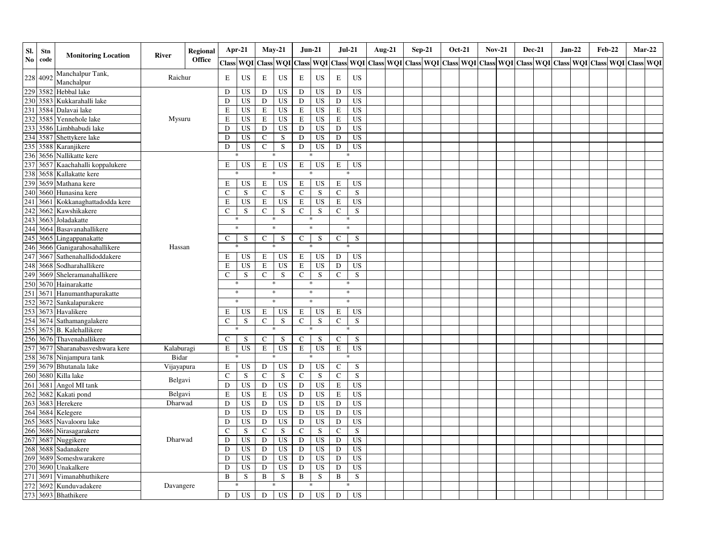| SI. | Stn      | <b>Monitoring Location</b>                                      | River      | <b>Regional</b> |              | Apr-21    | $May-21$     |           |               | $Jun-21$   | $Jul-21$      |             | <b>Aug-21</b> | $Sep-21$ | <b>Oct-21</b> |  | <b>Nov-21</b> | <b>Dec-21</b> | $Jan-22$ |  | <b>Feb-22</b> |                                                                                                                                                         | $Mar-22$ |
|-----|----------|-----------------------------------------------------------------|------------|-----------------|--------------|-----------|--------------|-----------|---------------|------------|---------------|-------------|---------------|----------|---------------|--|---------------|---------------|----------|--|---------------|---------------------------------------------------------------------------------------------------------------------------------------------------------|----------|
| No  | code     |                                                                 |            | <b>Office</b>   |              | Class WQI |              |           |               |            |               |             |               |          |               |  |               |               |          |  |               | Class   WQI   Class   WQI   Class   WQI   Class   WQI   Class   WQI   Class   WQI   Class   WQI   Class   WQI   Class   WQI   Class   WQI   Class   WQI |          |
| 228 | 4092     | Manchalpur Tank,<br>Manchalpur                                  | Raichur    |                 | Е            | US        | E            | US        | E             | <b>US</b>  | $\mathbf E$   | <b>US</b>   |               |          |               |  |               |               |          |  |               |                                                                                                                                                         |          |
|     | 229 3582 | Hebbal lake                                                     |            |                 | D            | US        | ${\rm D}$    | <b>US</b> | ${\bf D}$     | <b>US</b>  | D             | <b>US</b>   |               |          |               |  |               |               |          |  |               |                                                                                                                                                         |          |
|     | 230 3583 | Kukkarahalli lake                                               |            |                 | D            | US        | D            | <b>US</b> | ${\bf D}$     | <b>US</b>  | ${\rm D}$     | <b>US</b>   |               |          |               |  |               |               |          |  |               |                                                                                                                                                         |          |
| 231 | 3584     | Dalavai lake                                                    |            |                 | E            | US        | $\mathbf E$  | <b>US</b> | E             | <b>US</b>  | $\,$ E        | <b>US</b>   |               |          |               |  |               |               |          |  |               |                                                                                                                                                         |          |
| 232 | 3585     | Yennehole lake                                                  | Mysuru     |                 | E            | US        | E            | US        | E             | <b>US</b>  | E             | <b>US</b>   |               |          |               |  |               |               |          |  |               |                                                                                                                                                         |          |
| 233 | 3586     | Limbhabudi lake                                                 |            |                 | D            | US        | D            | <b>US</b> | D             | <b>US</b>  | ${\rm D}$     | <b>US</b>   |               |          |               |  |               |               |          |  |               |                                                                                                                                                         |          |
|     | 234 3587 | Shettykere lake                                                 |            |                 | D            | US        | $\mathbf C$  | S         | D             | <b>US</b>  | D             | <b>US</b>   |               |          |               |  |               |               |          |  |               |                                                                                                                                                         |          |
| 235 | 3588     | Karanjikere                                                     |            |                 | D            | US        | $\mathbf C$  | S         | D             | <b>US</b>  | D             | <b>US</b>   |               |          |               |  |               |               |          |  |               |                                                                                                                                                         |          |
| 236 | 3656     | Nallikatte kere                                                 |            |                 |              |           |              | *         |               | *          |               |             |               |          |               |  |               |               |          |  |               |                                                                                                                                                         |          |
| 237 |          | 3657 Kaachahalli koppalukere                                    |            |                 | Е            | US        | E            | <b>US</b> | E             | US         | E             | US          |               |          |               |  |               |               |          |  |               |                                                                                                                                                         |          |
| 238 | 3658     | Kallakatte kere                                                 |            |                 |              |           |              |           |               |            |               |             |               |          |               |  |               |               |          |  |               |                                                                                                                                                         |          |
| 239 | 3659     | Mathana kere                                                    |            |                 | Е            | US        | E            | <b>US</b> | $\mathbf E$   | <b>US</b>  | E             | <b>US</b>   |               |          |               |  |               |               |          |  |               |                                                                                                                                                         |          |
| 240 | 3660     | Hunasina kere                                                   |            |                 | $\mathsf{C}$ | S         | $\mathbf C$  | ${\bf S}$ | $\mathbf C$   | ${\bf S}$  | $\mathsf{C}$  | $\mathbf S$ |               |          |               |  |               |               |          |  |               |                                                                                                                                                         |          |
| 241 | 3661     | Kokkanaghattadodda kere                                         |            |                 | Е            | <b>US</b> | $\mathbf E$  | <b>US</b> | $\mathbf E$   | <b>US</b>  | $\mathbf E$   | <b>US</b>   |               |          |               |  |               |               |          |  |               |                                                                                                                                                         |          |
| 242 | 3662     | Kawshikakere                                                    |            |                 | $\mathsf{C}$ | ${\bf S}$ | $\mathbf C$  | S         | $\mathbf C$   | S          | $\mathbf C$   | $\mathbf S$ |               |          |               |  |               |               |          |  |               |                                                                                                                                                         |          |
| 243 | 3663     | Joladakatte                                                     |            |                 |              | $\ast$    |              | $\ast$    |               | $\ast$     | *             |             |               |          |               |  |               |               |          |  |               |                                                                                                                                                         |          |
| 244 | 3664     | Basavanahallikere                                               |            |                 |              | $\ast$    |              | $\ast$    |               | *          | $\ast$        |             |               |          |               |  |               |               |          |  |               |                                                                                                                                                         |          |
|     | 245 3665 | Lingappanakatte                                                 |            |                 | C            | S         | $\mathsf{C}$ | S         | $\mathcal{C}$ | S          | $\mathcal{C}$ | S           |               |          |               |  |               |               |          |  |               |                                                                                                                                                         |          |
| 246 | 3666     | Ganigarahosahallikere                                           | Hassan     |                 |              |           |              | $\ast$    |               | *          |               |             |               |          |               |  |               |               |          |  |               |                                                                                                                                                         |          |
| 247 | 3667     | Sathenahallidoddakere                                           |            |                 | Е            | <b>US</b> | E            | US        | $\mathbf E$   | <b>US</b>  | D             | <b>US</b>   |               |          |               |  |               |               |          |  |               |                                                                                                                                                         |          |
| 248 | 3668     | Sodharahallikere                                                |            |                 | E            | <b>US</b> | E            | <b>US</b> | $\mathbf E$   | <b>US</b>  | ${\rm D}$     | <b>US</b>   |               |          |               |  |               |               |          |  |               |                                                                                                                                                         |          |
| 249 | 3669     | Sheleramanahallikere                                            |            |                 | $\mathbf C$  | S         | $\mathbf C$  | S         | $\mathbf C$   | S          | $\mathbf C$   | S           |               |          |               |  |               |               |          |  |               |                                                                                                                                                         |          |
| 250 | 3670     | Hainarakatte                                                    |            |                 |              | *         |              | $\ast$    |               | $\ast$     | $\ast$        |             |               |          |               |  |               |               |          |  |               |                                                                                                                                                         |          |
| 251 | 3671     | Hanumanthapurakatte                                             |            |                 |              | $\ast$    |              | $\ast$    |               | $\ast$     | $\ast$        |             |               |          |               |  |               |               |          |  |               |                                                                                                                                                         |          |
| 252 | 3672     | Sankalapurakere                                                 |            |                 |              | $\ast$    |              | $\ast$    |               | $\ast$     | $\ast$        |             |               |          |               |  |               |               |          |  |               |                                                                                                                                                         |          |
| 253 | 3673     | Havalikere                                                      |            |                 | Е            | US        | E            | US        | E             | US         | Ε             | US          |               |          |               |  |               |               |          |  |               |                                                                                                                                                         |          |
| 254 | 3674     | Sathamangalakere                                                |            |                 | C            | S         | $\mathbf C$  | S         | $\mathbf C$   | ${\bf S}$  | C             | S           |               |          |               |  |               |               |          |  |               |                                                                                                                                                         |          |
| 255 | 3675     | <b>B.</b> Kalehallikere                                         |            |                 |              |           |              | $\ast$    |               | *          |               |             |               |          |               |  |               |               |          |  |               |                                                                                                                                                         |          |
| 256 | 3676     | Thavenahallikere                                                |            |                 | $\mathsf{C}$ | S         | $\mathbf C$  | S         | $\mathsf C$   | S          | C             | S           |               |          |               |  |               |               |          |  |               |                                                                                                                                                         |          |
| 257 | 3677     | Sharanabasveshwara kere                                         | Kalaburagi |                 | E            | <b>US</b> | $\mathbf E$  | <b>US</b> | $\mathbf E$   | <b>US</b>  | $\mathbf E$   | <b>US</b>   |               |          |               |  |               |               |          |  |               |                                                                                                                                                         |          |
| 258 | 3678     | Ninjampura tank                                                 | Bidar      |                 |              |           |              | $\ast$    |               | 宋          |               |             |               |          |               |  |               |               |          |  |               |                                                                                                                                                         |          |
| 259 | 3679     | Bhutanala lake                                                  | Vijayapura |                 | E            | US        | D            | <b>US</b> | ${\bf D}$     | <b>US</b>  | $\mathsf C$   | S           |               |          |               |  |               |               |          |  |               |                                                                                                                                                         |          |
| 260 | 3680     | Killa lake                                                      |            |                 | C            | S         | $\mathbf C$  | S         | $\mathbf C$   | ${\bf S}$  | $\mathsf{C}$  | $\mathbf S$ |               |          |               |  |               |               |          |  |               |                                                                                                                                                         |          |
| 261 | 3681     | Angol MI tank                                                   | Belgavi    |                 | D            | US        | D            | US        | D             | <b>US</b>  | E             | <b>US</b>   |               |          |               |  |               |               |          |  |               |                                                                                                                                                         |          |
| 262 | 3682     | Kakati pond                                                     | Belgavi    |                 | E            | US        | E            | <b>US</b> | D             | <b>US</b>  | E             | <b>US</b>   |               |          |               |  |               |               |          |  |               |                                                                                                                                                         |          |
| 263 | 3683     | Herekere                                                        | Dharwad    |                 | D            | US        | ${\rm D}$    | <b>US</b> | D             | <b>US</b>  | ${\rm D}$     | <b>US</b>   |               |          |               |  |               |               |          |  |               |                                                                                                                                                         |          |
| 264 | 3684     | Kelegere                                                        |            |                 | D            | US        | ${\rm D}$    | US        | D             | <b>US</b>  | D             | <b>US</b>   |               |          |               |  |               |               |          |  |               |                                                                                                                                                         |          |
| 265 | 3685     | Navalooru lake                                                  |            |                 | D            | US        | ${\rm D}$    | US        | D             | <b>US</b>  | D             | <b>US</b>   |               |          |               |  |               |               |          |  |               |                                                                                                                                                         |          |
| 266 | 3686     | Nirasagarakere                                                  |            |                 | $\mathsf{C}$ | S         | $\mathbf C$  | $\,$ S    | $\mathsf C$   | $\sqrt{s}$ | $\mathbf C$   | S           |               |          |               |  |               |               |          |  |               |                                                                                                                                                         |          |
| 267 | 3687     | Nuggikere                                                       | Dharwad    |                 | ${\rm D}$    | <b>US</b> | ${\rm D}$    | <b>US</b> | ${\bf D}$     | <b>US</b>  | $\mathbf D$   | <b>US</b>   |               |          |               |  |               |               |          |  |               |                                                                                                                                                         |          |
| 268 | 3688     | Sadanakere                                                      |            |                 | D            | US        | ${\rm D}$    | <b>US</b> | D             | <b>US</b>  | ${\bf D}$     | <b>US</b>   |               |          |               |  |               |               |          |  |               |                                                                                                                                                         |          |
|     | 269 3689 | Someshwarakere                                                  |            |                 | D            | <b>US</b> | ${\rm D}$    | <b>US</b> | D             | <b>US</b>  | D             | <b>US</b>   |               |          |               |  |               |               |          |  |               |                                                                                                                                                         |          |
| 270 | 3690     | Unakalkere                                                      |            |                 | D            | US        | ${\rm D}$    | US        | $\mathbf D$   | <b>US</b>  | D             | <b>US</b>   |               |          |               |  |               |               |          |  |               |                                                                                                                                                         |          |
|     |          | Vimanabhuthikere                                                |            |                 | $\bf{B}$     | S         | B            | S         | B             | S          | $\, {\bf B}$  | S           |               |          |               |  |               |               |          |  |               |                                                                                                                                                         |          |
|     |          | Kunduvadakere                                                   | Davangere  |                 |              |           |              | $\ast$    |               | *          |               |             |               |          |               |  |               |               |          |  |               |                                                                                                                                                         |          |
|     |          | 271 3691 Vimanabhu<br>272 3692 Kunduvada<br>273 3693 Bhathikere |            |                 | D            | <b>US</b> | ${\rm D}$    | <b>US</b> | D             | US         | D             | <b>US</b>   |               |          |               |  |               |               |          |  |               |                                                                                                                                                         |          |
|     |          |                                                                 |            |                 |              |           |              |           |               |            |               |             |               |          |               |  |               |               |          |  |               |                                                                                                                                                         |          |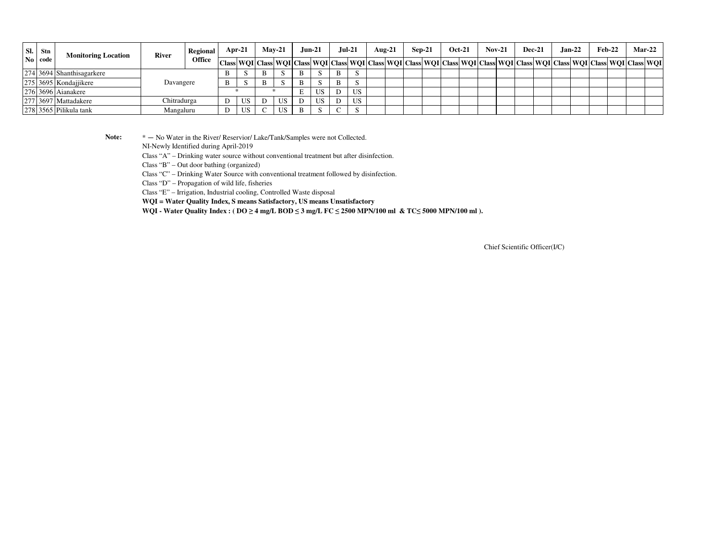| SI. | <b>Stn</b>     | <b>Monitoring Location</b> | <b>River</b> | Regional      | Apr-21 |   | $Mav-21$ | $Jun-21$ |   | Jul-21 | Aug-21                                                                                                                                                     | $Sep-21$ | <b>Oct-21</b> | $Nov-21$ | <b>Dec-21</b> |  | $Jan-22$ | $Feb-22$ | <b>Mar-22</b> |
|-----|----------------|----------------------------|--------------|---------------|--------|---|----------|----------|---|--------|------------------------------------------------------------------------------------------------------------------------------------------------------------|----------|---------------|----------|---------------|--|----------|----------|---------------|
|     | $\bf{No}$ code |                            |              | <b>Office</b> |        |   |          |          |   |        | Class  WQI  Class  WQI  Class  WQI  Class  WQI  Class  WQI  Class  WQI  Class  WQI  Class  WQI  Class  WQI  Class  WQI  Class  WQI  Class  WQI  Class  WQI |          |               |          |               |  |          |          |               |
|     |                | 274 3694 Shanthisagarkere  |              |               |        | B |          |          | B |        |                                                                                                                                                            |          |               |          |               |  |          |          |               |
|     |                | 275 3695 Kondajjikere      | Davangere    |               |        | В |          |          | B |        |                                                                                                                                                            |          |               |          |               |  |          |          |               |
|     |                | 276 3696 Aianakere         |              |               |        |   |          | US       |   | US     |                                                                                                                                                            |          |               |          |               |  |          |          |               |
|     |                | 277 3697 Mattadakere       | Chitradurga  |               | US     |   | US       | US       |   | US     |                                                                                                                                                            |          |               |          |               |  |          |          |               |
|     |                | 278 3565 Pilikula tank     | Mangaluru    |               | US     |   | US       |          |   |        |                                                                                                                                                            |          |               |          |               |  |          |          |               |

Note:  $* - No Water$  in the River/ Reservior/ Lake/Tank/Samples were not Collected.

NI-Newly Identified during April-2019

Class "A" – Drinking water source without conventional treatment but after disinfection.

Class "B" – Out door bathing (organized)

Class "C" – Drinking Water Source with conventional treatment followed by disinfection.

Class "D" – Propagation of wild life, fisheries

Class "E" – Irrigation, Industrial cooling, Controlled Waste disposal

**WQI = Water Quality Index, S means Satisfactory, US means Unsatisfactory**

**WQI - Water Quality Index : ( DO ≥ 4 mg/L BOD ≤ 3 mg/L FC ≤ 2500 MPN/100 ml & TC≤ 5000 MPN/100 ml ).**

Chief Scientific Officer(I/C)